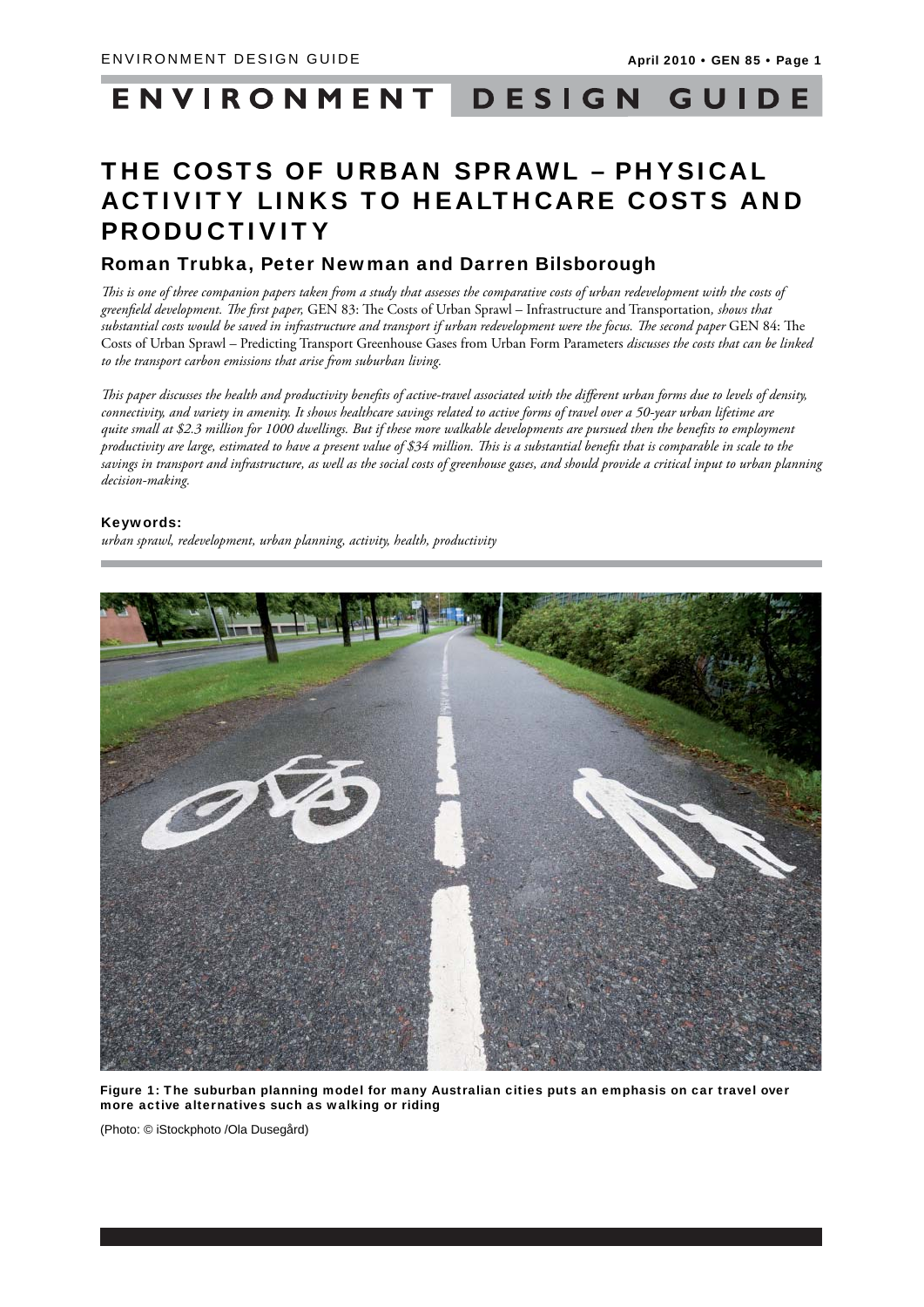# ENVIRONMENT DESIGN GUIDE

## THE COSTS OF URBAN SPRAWL – PHYSICAL ACTIVITY LINKS TO HEALTHCARE COSTS AND PRODUCTIVITY

## Roman Trubka, Peter Newman and Darren Bilsborough

This is one of three companion papers taken from a study that assesses the comparative costs of urban redevelopment with the costs of greenfield development. The first paper, GEN 83: The Costs of Urban Sprawl – Infrastructure and Transportation, shows that substantial costs would be saved in infrastructure and transport if urban redevelopment were the focus. The second paper GEN 84: The Costs of Urban Sprawl – Predicting Transport Greenhouse Gases from Urban Form Parameters *discusses the costs that can be linked to the transport carbon emissions that arise from suburban living.* 

This paper discusses the health and productivity benefits of active-travel associated with the different urban forms due to levels of density, *connectivity, and variety in amenity. It shows healthcare savings related to active forms of travel over a 50-year urban lifetime are quite small at \$2.3 million for 1000 dwellings. But if these more walkable developments are pursued then the benefits to employment productivity are large, estimated to have a present value of \$34 million. This is a substantial benefit that is comparable in scale to the savings in transport and infrastructure, as well as the social costs of greenhouse gases, and should provide a critical input to urban planning decision-making.*

#### Keywords:

*urban sprawl, redevelopment, urban planning, activity, health, productivity*



Figure 1: The suburban planning model for many Australian cities puts an emphasis on car travel over more active alternatives such as walking or riding

(Photo: © iStockphoto /Ola Dusegård)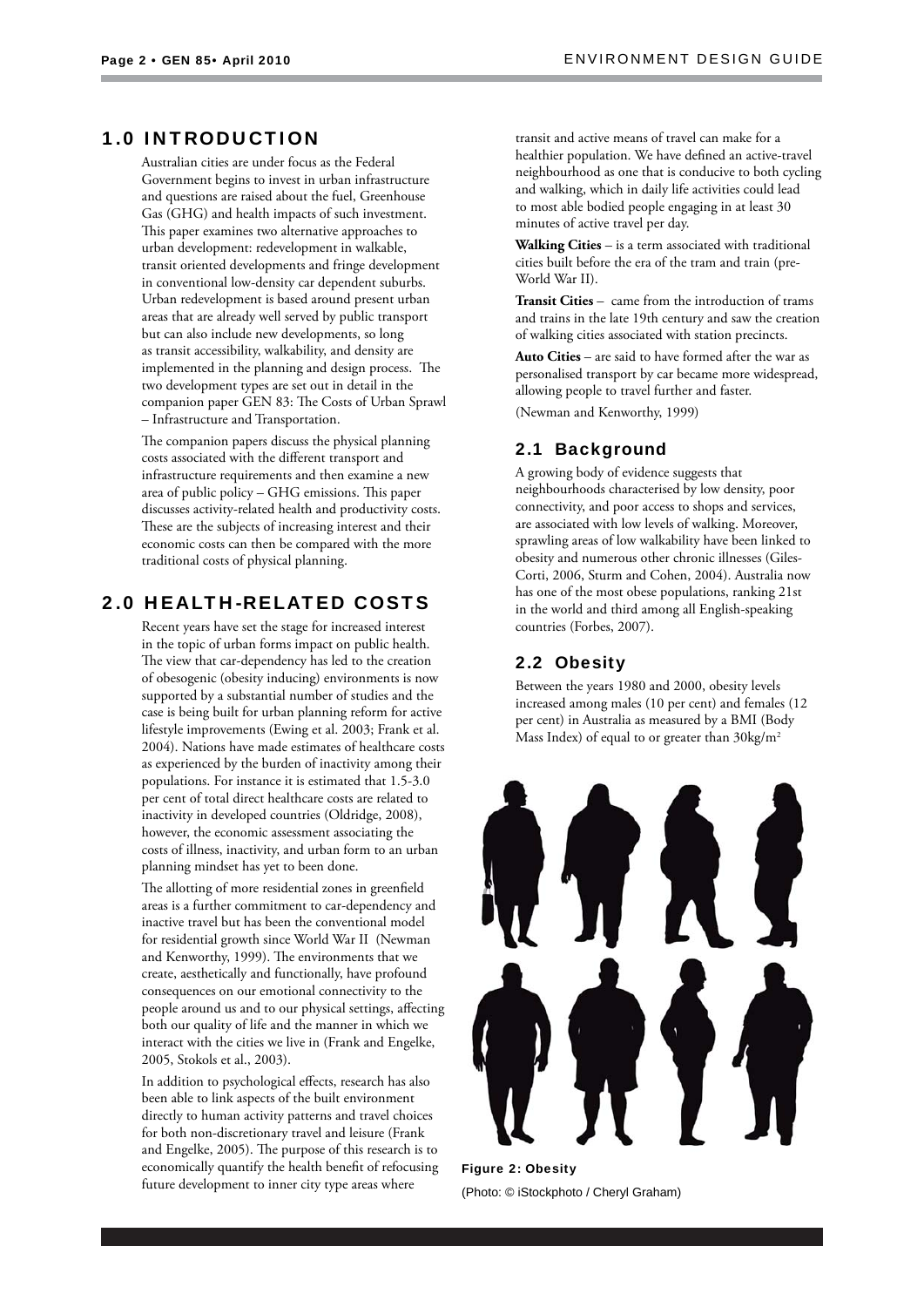## 1.0 INTRODUCTION

Australian cities are under focus as the Federal Government begins to invest in urban infrastructure and questions are raised about the fuel, Greenhouse Gas (GHG) and health impacts of such investment. This paper examines two alternative approaches to urban development: redevelopment in walkable, transit oriented developments and fringe development in conventional low-density car dependent suburbs. Urban redevelopment is based around present urban areas that are already well served by public transport but can also include new developments, so long as transit accessibility, walkability, and density are implemented in the planning and design process. The two development types are set out in detail in the companion paper GEN 83: The Costs of Urban Sprawl – Infrastructure and Transportation.

The companion papers discuss the physical planning costs associated with the different transport and infrastructure requirements and then examine a new area of public policy – GHG emissions. This paper discusses activity-related health and productivity costs. These are the subjects of increasing interest and their economic costs can then be compared with the more traditional costs of physical planning.

## 2.0 HEALTH-RELATED COSTS

Recent years have set the stage for increased interest in the topic of urban forms impact on public health. The view that car-dependency has led to the creation of obesogenic (obesity inducing) environments is now supported by a substantial number of studies and the case is being built for urban planning reform for active lifestyle improvements (Ewing et al. 2003; Frank et al. 2004). Nations have made estimates of healthcare costs as experienced by the burden of inactivity among their populations. For instance it is estimated that 1.5-3.0 per cent of total direct healthcare costs are related to inactivity in developed countries (Oldridge, 2008), however, the economic assessment associating the costs of illness, inactivity, and urban form to an urban planning mindset has yet to been done.

The allotting of more residential zones in greenfield areas is a further commitment to car-dependency and inactive travel but has been the conventional model for residential growth since World War II (Newman and Kenworthy, 1999). The environments that we create, aesthetically and functionally, have profound consequences on our emotional connectivity to the people around us and to our physical settings, affecting both our quality of life and the manner in which we interact with the cities we live in (Frank and Engelke, 2005, Stokols et al., 2003).

In addition to psychological effects, research has also been able to link aspects of the built environment directly to human activity patterns and travel choices for both non-discretionary travel and leisure (Frank and Engelke, 2005). The purpose of this research is to economically quantify the health benefit of refocusing future development to inner city type areas where

transit and active means of travel can make for a healthier population. We have defined an active-travel neighbourhood as one that is conducive to both cycling and walking, which in daily life activities could lead to most able bodied people engaging in at least 30 minutes of active travel per day.

**Walking Cities** – is a term associated with traditional cities built before the era of the tram and train (pre-World War II).

**Transit Cities** – came from the introduction of trams and trains in the late 19th century and saw the creation of walking cities associated with station precincts.

**Auto Cities** – are said to have formed after the war as personalised transport by car became more widespread, allowing people to travel further and faster. (Newman and Kenworthy, 1999)

#### 2.1 Background

A growing body of evidence suggests that neighbourhoods characterised by low density, poor connectivity, and poor access to shops and services, are associated with low levels of walking. Moreover, sprawling areas of low walkability have been linked to obesity and numerous other chronic illnesses (Giles-Corti, 2006, Sturm and Cohen, 2004). Australia now has one of the most obese populations, ranking 21st in the world and third among all English-speaking countries (Forbes, 2007).

## 2.2 Obesity

Between the years 1980 and 2000, obesity levels increased among males (10 per cent) and females (12 per cent) in Australia as measured by a BMI (Body Mass Index) of equal to or greater than  $30\text{kg/m}^2$ 



Figure 2: Obesity (Photo: © iStockphoto / Cheryl Graham)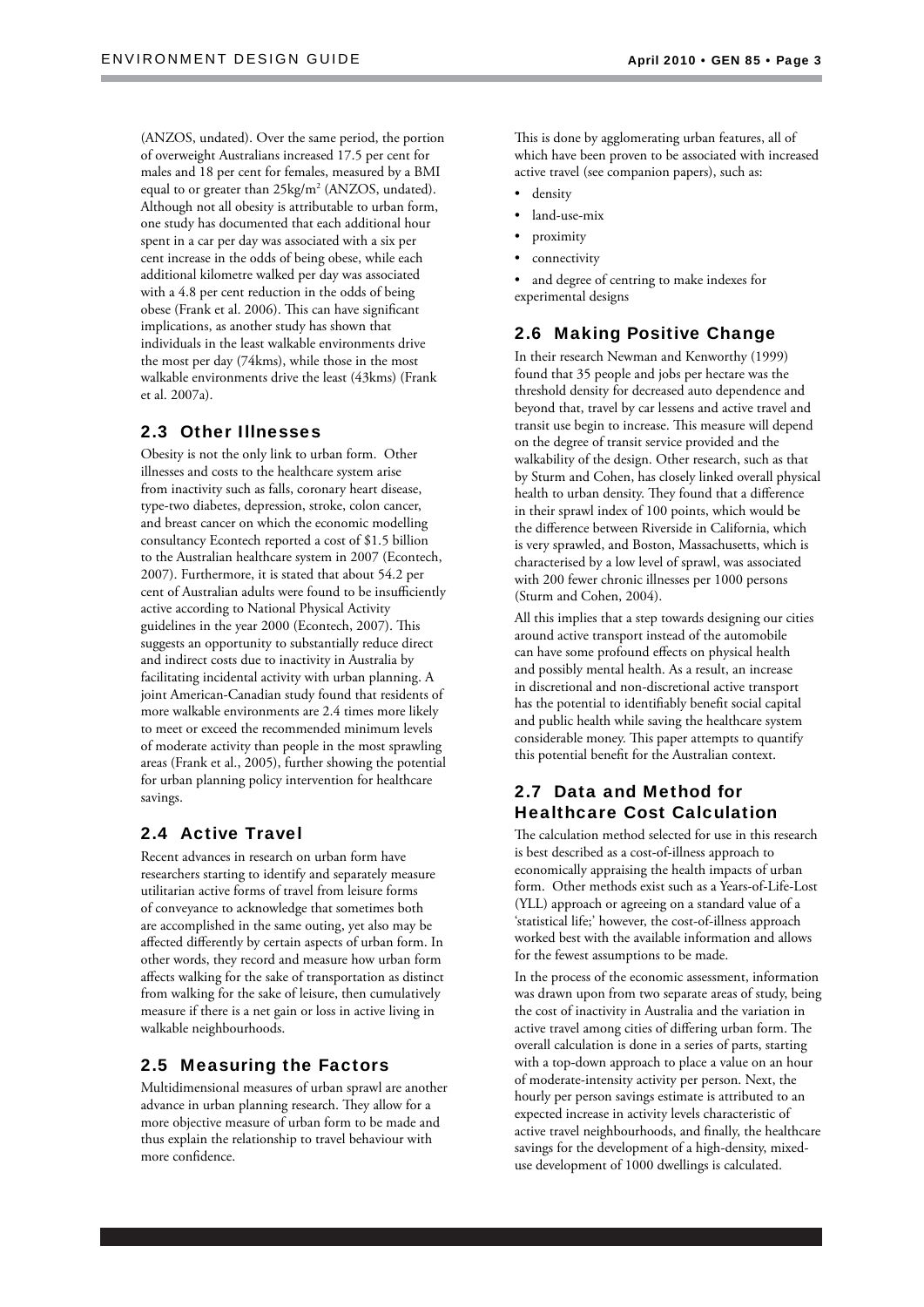(ANZOS, undated). Over the same period, the portion of overweight Australians increased 17.5 per cent for males and 18 per cent for females, measured by a BMI equal to or greater than 25kg/m<sup>2</sup> (ANZOS, undated). Although not all obesity is attributable to urban form, one study has documented that each additional hour spent in a car per day was associated with a six per cent increase in the odds of being obese, while each additional kilometre walked per day was associated with a 4.8 per cent reduction in the odds of being obese (Frank et al. 2006). This can have significant implications, as another study has shown that individuals in the least walkable environments drive the most per day (74kms), while those in the most walkable environments drive the least (43kms) (Frank et al. 2007a).

## 2.3 Other Illnesses

Obesity is not the only link to urban form. Other illnesses and costs to the healthcare system arise from inactivity such as falls, coronary heart disease, type-two diabetes, depression, stroke, colon cancer, and breast cancer on which the economic modelling consultancy Econtech reported a cost of \$1.5 billion to the Australian healthcare system in 2007 (Econtech, 2007). Furthermore, it is stated that about 54.2 per cent of Australian adults were found to be insufficiently active according to National Physical Activity guidelines in the year 2000 (Econtech, 2007). This suggests an opportunity to substantially reduce direct and indirect costs due to inactivity in Australia by facilitating incidental activity with urban planning. A joint American-Canadian study found that residents of more walkable environments are 2.4 times more likely to meet or exceed the recommended minimum levels of moderate activity than people in the most sprawling areas (Frank et al., 2005), further showing the potential for urban planning policy intervention for healthcare savings.

## 2.4 Active Travel

Recent advances in research on urban form have researchers starting to identify and separately measure utilitarian active forms of travel from leisure forms of conveyance to acknowledge that sometimes both are accomplished in the same outing, yet also may be affected differently by certain aspects of urban form. In other words, they record and measure how urban form affects walking for the sake of transportation as distinct from walking for the sake of leisure, then cumulatively measure if there is a net gain or loss in active living in walkable neighbourhoods.

## 2.5 Measuring the Factors

Multidimensional measures of urban sprawl are another advance in urban planning research. They allow for a more objective measure of urban form to be made and thus explain the relationship to travel behaviour with more confidence.

This is done by agglomerating urban features, all of which have been proven to be associated with increased active travel (see companion papers), such as:

- density
- land-use-mix
- proximity
- connectivity

and degree of centring to make indexes for experimental designs

## 2.6 Making Positive Change

In their research Newman and Kenworthy (1999) found that 35 people and jobs per hectare was the threshold density for decreased auto dependence and beyond that, travel by car lessens and active travel and transit use begin to increase. This measure will depend on the degree of transit service provided and the walkability of the design. Other research, such as that by Sturm and Cohen, has closely linked overall physical health to urban density. They found that a difference in their sprawl index of 100 points, which would be the difference between Riverside in California, which is very sprawled, and Boston, Massachusetts, which is characterised by a low level of sprawl, was associated with 200 fewer chronic illnesses per 1000 persons (Sturm and Cohen, 2004).

All this implies that a step towards designing our cities around active transport instead of the automobile can have some profound effects on physical health and possibly mental health. As a result, an increase in discretional and non-discretional active transport has the potential to identifiably benefit social capital and public health while saving the healthcare system considerable money. This paper attempts to quantify this potential benefit for the Australian context.

## 2.7 Data and Method for Healthcare Cost Calculation

The calculation method selected for use in this research is best described as a cost-of-illness approach to economically appraising the health impacts of urban form. Other methods exist such as a Years-of-Life-Lost (YLL) approach or agreeing on a standard value of a 'statistical life;' however, the cost-of-illness approach worked best with the available information and allows for the fewest assumptions to be made.

In the process of the economic assessment, information was drawn upon from two separate areas of study, being the cost of inactivity in Australia and the variation in active travel among cities of differing urban form. The overall calculation is done in a series of parts, starting with a top-down approach to place a value on an hour of moderate-intensity activity per person. Next, the hourly per person savings estimate is attributed to an expected increase in activity levels characteristic of active travel neighbourhoods, and finally, the healthcare savings for the development of a high-density, mixeduse development of 1000 dwellings is calculated.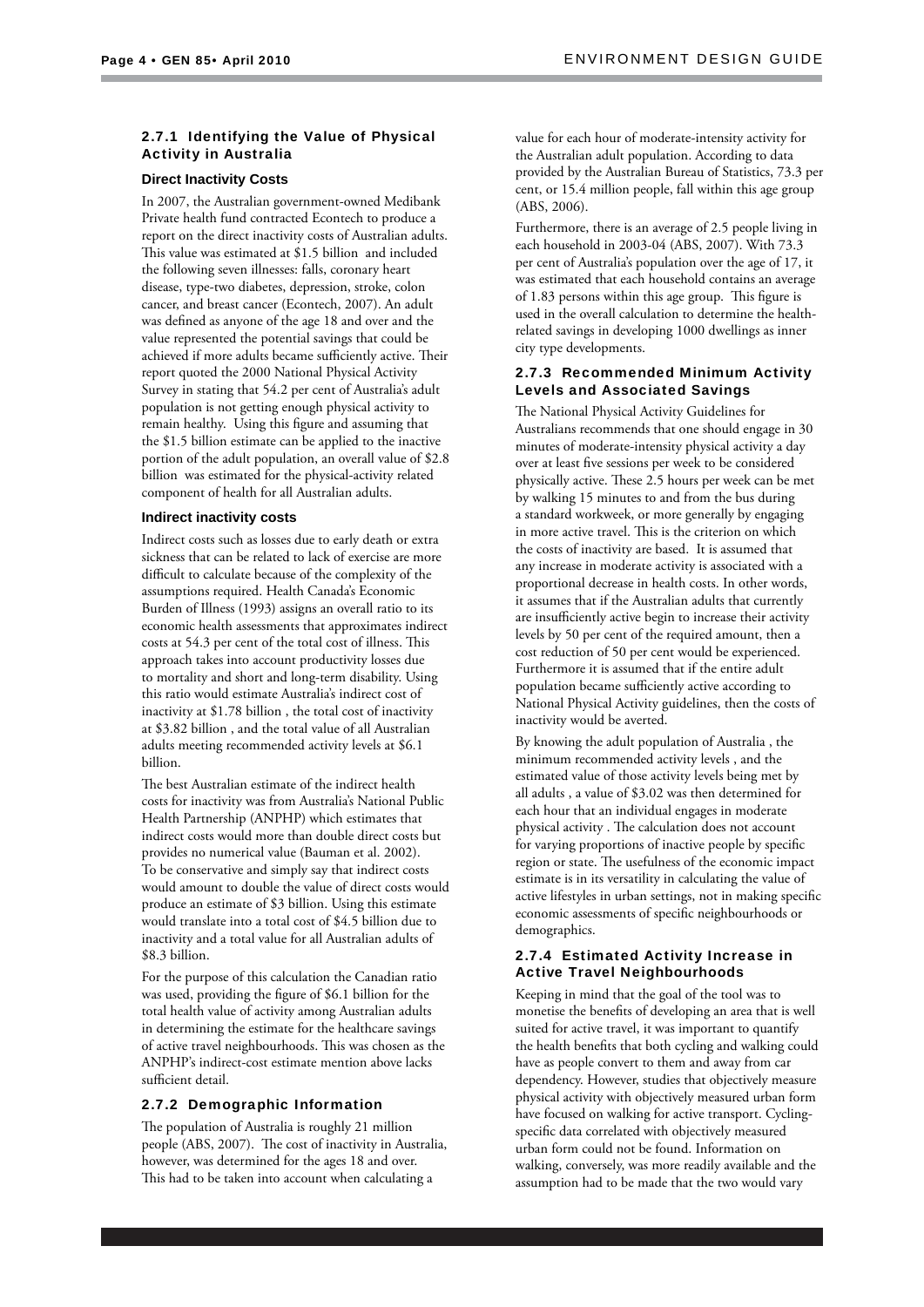#### 2.7.1 Identifying the Value of Physical Activity in Australia

#### **Direct Inactivity Costs**

In 2007, the Australian government-owned Medibank Private health fund contracted Econtech to produce a report on the direct inactivity costs of Australian adults. This value was estimated at \$1.5 billion and included the following seven illnesses: falls, coronary heart disease, type-two diabetes, depression, stroke, colon cancer, and breast cancer (Econtech, 2007). An adult was defined as anyone of the age 18 and over and the value represented the potential savings that could be achieved if more adults became sufficiently active. Their report quoted the 2000 National Physical Activity Survey in stating that 54.2 per cent of Australia's adult population is not getting enough physical activity to remain healthy. Using this figure and assuming that the \$1.5 billion estimate can be applied to the inactive portion of the adult population, an overall value of \$2.8 billion was estimated for the physical-activity related component of health for all Australian adults.

#### **Indirect inactivity costs**

Indirect costs such as losses due to early death or extra sickness that can be related to lack of exercise are more difficult to calculate because of the complexity of the assumptions required. Health Canada's Economic Burden of Illness (1993) assigns an overall ratio to its economic health assessments that approximates indirect costs at 54.3 per cent of the total cost of illness. This approach takes into account productivity losses due to mortality and short and long-term disability. Using this ratio would estimate Australia's indirect cost of inactivity at \$1.78 billion , the total cost of inactivity at \$3.82 billion , and the total value of all Australian adults meeting recommended activity levels at \$6.1 billion.

The best Australian estimate of the indirect health costs for inactivity was from Australia's National Public Health Partnership (ANPHP) which estimates that indirect costs would more than double direct costs but provides no numerical value (Bauman et al. 2002). To be conservative and simply say that indirect costs would amount to double the value of direct costs would produce an estimate of \$3 billion. Using this estimate would translate into a total cost of \$4.5 billion due to inactivity and a total value for all Australian adults of \$8.3 billion.

For the purpose of this calculation the Canadian ratio was used, providing the figure of \$6.1 billion for the total health value of activity among Australian adults in determining the estimate for the healthcare savings of active travel neighbourhoods. This was chosen as the ANPHP's indirect-cost estimate mention above lacks sufficient detail.

#### 2.7.2 Demographic Information

The population of Australia is roughly 21 million people (ABS, 2007). The cost of inactivity in Australia, however, was determined for the ages 18 and over. This had to be taken into account when calculating a

value for each hour of moderate-intensity activity for the Australian adult population. According to data provided by the Australian Bureau of Statistics, 73.3 per cent, or 15.4 million people, fall within this age group (ABS, 2006).

Furthermore, there is an average of 2.5 people living in each household in 2003-04 (ABS, 2007). With 73.3 per cent of Australia's population over the age of 17, it was estimated that each household contains an average of 1.83 persons within this age group. This figure is used in the overall calculation to determine the healthrelated savings in developing 1000 dwellings as inner city type developments.

#### 2.7.3 Recommended Minimum Activity Levels and Associated Savings

The National Physical Activity Guidelines for Australians recommends that one should engage in 30 minutes of moderate-intensity physical activity a day over at least five sessions per week to be considered physically active. These 2.5 hours per week can be met by walking 15 minutes to and from the bus during a standard workweek, or more generally by engaging in more active travel. This is the criterion on which the costs of inactivity are based. It is assumed that any increase in moderate activity is associated with a proportional decrease in health costs. In other words, it assumes that if the Australian adults that currently are insufficiently active begin to increase their activity levels by 50 per cent of the required amount, then a cost reduction of 50 per cent would be experienced. Furthermore it is assumed that if the entire adult population became sufficiently active according to National Physical Activity guidelines, then the costs of inactivity would be averted.

By knowing the adult population of Australia , the minimum recommended activity levels , and the estimated value of those activity levels being met by all adults , a value of \$3.02 was then determined for each hour that an individual engages in moderate physical activity. The calculation does not account for varying proportions of inactive people by specific region or state. The usefulness of the economic impact estimate is in its versatility in calculating the value of active lifestyles in urban settings, not in making specific economic assessments of specific neighbourhoods or demographics.

#### 2.7.4 Estimated Activity Increase in Active Travel Neighbourhoods

Keeping in mind that the goal of the tool was to monetise the benefits of developing an area that is well suited for active travel, it was important to quantify the health benefits that both cycling and walking could have as people convert to them and away from car dependency. However, studies that objectively measure physical activity with objectively measured urban form have focused on walking for active transport. Cyclingspecific data correlated with objectively measured urban form could not be found. Information on walking, conversely, was more readily available and the assumption had to be made that the two would vary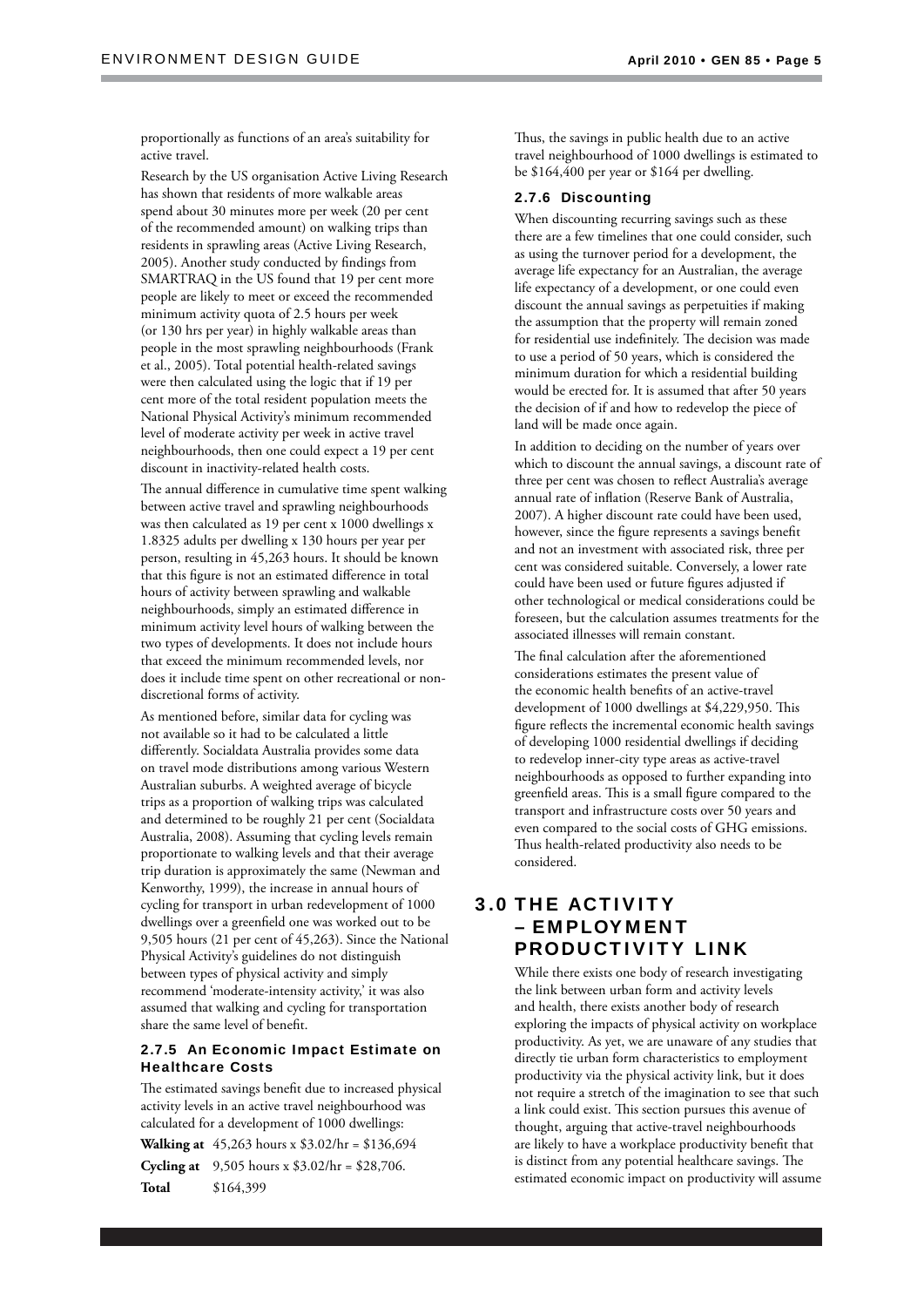proportionally as functions of an area's suitability for active travel.

Research by the US organisation Active Living Research has shown that residents of more walkable areas spend about 30 minutes more per week (20 per cent of the recommended amount) on walking trips than residents in sprawling areas (Active Living Research, 2005). Another study conducted by findings from SMARTRAQ in the US found that 19 per cent more people are likely to meet or exceed the recommended minimum activity quota of 2.5 hours per week (or 130 hrs per year) in highly walkable areas than people in the most sprawling neighbourhoods (Frank et al., 2005). Total potential health-related savings were then calculated using the logic that if 19 per cent more of the total resident population meets the National Physical Activity's minimum recommended level of moderate activity per week in active travel neighbourhoods, then one could expect a 19 per cent discount in inactivity-related health costs.

The annual difference in cumulative time spent walking between active travel and sprawling neighbourhoods was then calculated as 19 per cent x 1000 dwellings x 1.8325 adults per dwelling x 130 hours per year per person, resulting in 45,263 hours. It should be known that this figure is not an estimated difference in total hours of activity between sprawling and walkable neighbourhoods, simply an estimated difference in minimum activity level hours of walking between the two types of developments. It does not include hours that exceed the minimum recommended levels, nor does it include time spent on other recreational or nondiscretional forms of activity.

As mentioned before, similar data for cycling was not available so it had to be calculated a little differently. Socialdata Australia provides some data on travel mode distributions among various Western Australian suburbs. A weighted average of bicycle trips as a proportion of walking trips was calculated and determined to be roughly 21 per cent (Socialdata Australia, 2008). Assuming that cycling levels remain proportionate to walking levels and that their average trip duration is approximately the same (Newman and Kenworthy, 1999), the increase in annual hours of cycling for transport in urban redevelopment of 1000 dwellings over a greenfield one was worked out to be 9,505 hours (21 per cent of 45,263). Since the National Physical Activity's guidelines do not distinguish between types of physical activity and simply recommend 'moderate-intensity activity,' it was also assumed that walking and cycling for transportation share the same level of benefit.

#### 2.7.5 An Economic Impact Estimate on Healthcare Costs

The estimated savings benefit due to increased physical activity levels in an active travel neighbourhood was calculated for a development of 1000 dwellings:

**Walking at** 45,263 hours x \$3.02/hr = \$136,694 **Cycling at** 9,505 hours x \$3.02/hr = \$28,706.

**Total** \$164,399

Thus, the savings in public health due to an active travel neighbourhood of 1000 dwellings is estimated to be \$164,400 per year or \$164 per dwelling.

#### 2.7.6 Discounting

When discounting recurring savings such as these there are a few timelines that one could consider, such as using the turnover period for a development, the average life expectancy for an Australian, the average life expectancy of a development, or one could even discount the annual savings as perpetuities if making the assumption that the property will remain zoned for residential use indefinitely. The decision was made to use a period of 50 years, which is considered the minimum duration for which a residential building would be erected for. It is assumed that after 50 years the decision of if and how to redevelop the piece of land will be made once again.

In addition to deciding on the number of years over which to discount the annual savings, a discount rate of three per cent was chosen to reflect Australia's average annual rate of inflation (Reserve Bank of Australia, 2007). A higher discount rate could have been used, however, since the figure represents a savings benefit and not an investment with associated risk, three per cent was considered suitable. Conversely, a lower rate could have been used or future figures adjusted if other technological or medical considerations could be foreseen, but the calculation assumes treatments for the associated illnesses will remain constant.

The final calculation after the aforementioned considerations estimates the present value of the economic health benefits of an active-travel development of 1000 dwellings at \$4,229,950. This figure reflects the incremental economic health savings of developing 1000 residential dwellings if deciding to redevelop inner-city type areas as active-travel neighbourhoods as opposed to further expanding into greenfield areas. This is a small figure compared to the transport and infrastructure costs over 50 years and even compared to the social costs of GHG emissions. Thus health-related productivity also needs to be considered.

## 3.0 THE ACTIVITY – EMPLOYMENT PRODUCTIVITY LINK

While there exists one body of research investigating the link between urban form and activity levels and health, there exists another body of research exploring the impacts of physical activity on workplace productivity. As yet, we are unaware of any studies that directly tie urban form characteristics to employment productivity via the physical activity link, but it does not require a stretch of the imagination to see that such a link could exist. This section pursues this avenue of thought, arguing that active-travel neighbourhoods are likely to have a workplace productivity benefit that is distinct from any potential healthcare savings. The estimated economic impact on productivity will assume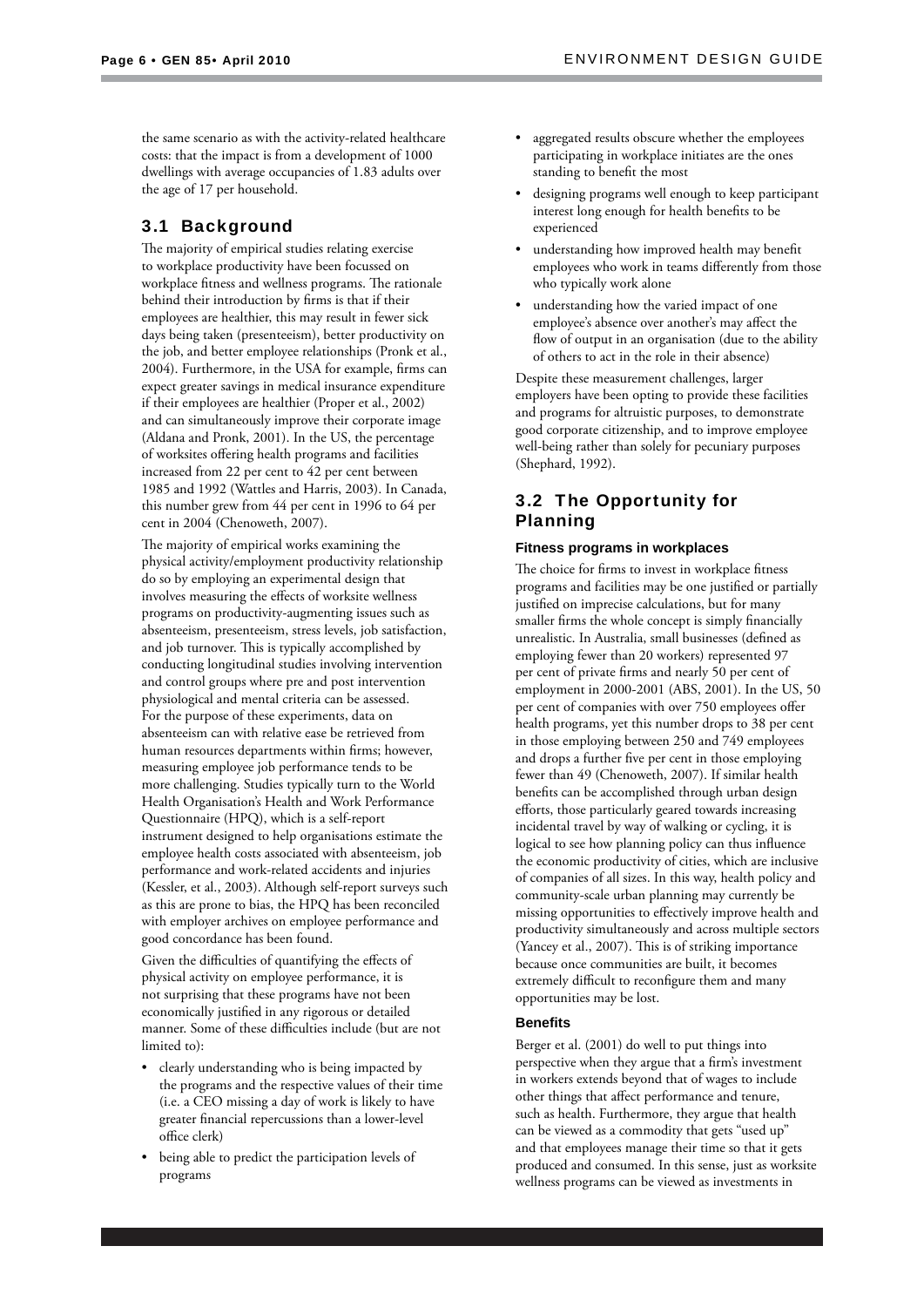the same scenario as with the activity-related healthcare costs: that the impact is from a development of 1000 dwellings with average occupancies of 1.83 adults over the age of 17 per household.

## 3.1 Background

The majority of empirical studies relating exercise to workplace productivity have been focussed on workplace fitness and wellness programs. The rationale behind their introduction by firms is that if their employees are healthier, this may result in fewer sick days being taken (presenteeism), better productivity on the job, and better employee relationships (Pronk et al., 2004). Furthermore, in the USA for example, firms can expect greater savings in medical insurance expenditure if their employees are healthier (Proper et al., 2002) and can simultaneously improve their corporate image (Aldana and Pronk, 2001). In the US, the percentage of worksites offering health programs and facilities increased from 22 per cent to 42 per cent between 1985 and 1992 (Wattles and Harris, 2003). In Canada, this number grew from 44 per cent in 1996 to 64 per cent in 2004 (Chenoweth, 2007).

The majority of empirical works examining the physical activity/employment productivity relationship do so by employing an experimental design that involves measuring the effects of worksite wellness programs on productivity-augmenting issues such as absenteeism, presenteeism, stress levels, job satisfaction, and job turnover. This is typically accomplished by conducting longitudinal studies involving intervention and control groups where pre and post intervention physiological and mental criteria can be assessed. For the purpose of these experiments, data on absenteeism can with relative ease be retrieved from human resources departments within firms; however, measuring employee job performance tends to be more challenging. Studies typically turn to the World Health Organisation's Health and Work Performance Questionnaire (HPQ), which is a self-report instrument designed to help organisations estimate the employee health costs associated with absenteeism, job performance and work-related accidents and injuries (Kessler, et al., 2003). Although self-report surveys such as this are prone to bias, the HPQ has been reconciled with employer archives on employee performance and good concordance has been found.

Given the difficulties of quantifying the effects of physical activity on employee performance, it is not surprising that these programs have not been economically justified in any rigorous or detailed manner. Some of these difficulties include (but are not limited to):

- clearly understanding who is being impacted by the programs and the respective values of their time (i.e. a CEO missing a day of work is likely to have greater financial repercussions than a lower-level office clerk)
- being able to predict the participation levels of programs
- aggregated results obscure whether the employees participating in workplace initiates are the ones standing to benefit the most
- designing programs well enough to keep participant interest long enough for health benefits to be experienced
- understanding how improved health may benefit employees who work in teams differently from those who typically work alone
- understanding how the varied impact of one employee's absence over another's may affect the flow of output in an organisation (due to the ability of others to act in the role in their absence)

Despite these measurement challenges, larger employers have been opting to provide these facilities and programs for altruistic purposes, to demonstrate good corporate citizenship, and to improve employee well-being rather than solely for pecuniary purposes (Shephard, 1992).

## 3.2 The Opportunity for Planning

#### **Fitness programs in workplaces**

The choice for firms to invest in workplace fitness programs and facilities may be one justified or partially justified on imprecise calculations, but for many smaller firms the whole concept is simply financially unrealistic. In Australia, small businesses (defined as employing fewer than 20 workers) represented 97 per cent of private firms and nearly 50 per cent of employment in 2000-2001 (ABS, 2001). In the US, 50 per cent of companies with over 750 employees offer health programs, yet this number drops to 38 per cent in those employing between 250 and 749 employees and drops a further five per cent in those employing fewer than 49 (Chenoweth, 2007). If similar health benefits can be accomplished through urban design efforts, those particularly geared towards increasing incidental travel by way of walking or cycling, it is logical to see how planning policy can thus influence the economic productivity of cities, which are inclusive of companies of all sizes. In this way, health policy and community-scale urban planning may currently be missing opportunities to effectively improve health and productivity simultaneously and across multiple sectors (Yancey et al., 2007). This is of striking importance because once communities are built, it becomes extremely difficult to reconfigure them and many opportunities may be lost.

#### **Benefi ts**

Berger et al. (2001) do well to put things into perspective when they argue that a firm's investment in workers extends beyond that of wages to include other things that affect performance and tenure, such as health. Furthermore, they argue that health can be viewed as a commodity that gets "used up" and that employees manage their time so that it gets produced and consumed. In this sense, just as worksite wellness programs can be viewed as investments in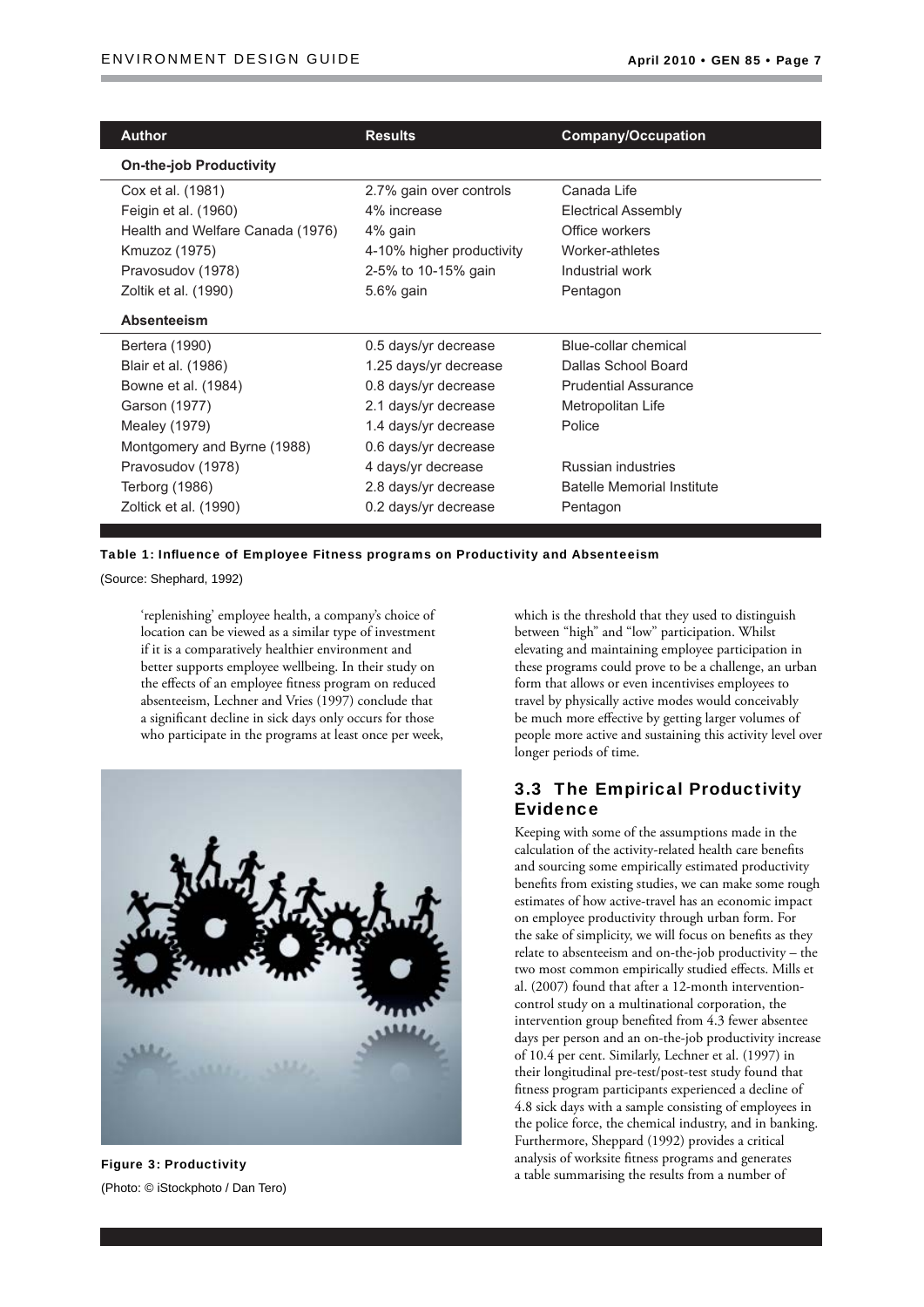| <b>Author</b>                    | <b>Results</b>            | <b>Company/Occupation</b>         |
|----------------------------------|---------------------------|-----------------------------------|
| <b>On-the-job Productivity</b>   |                           |                                   |
| Cox et al. (1981)                | 2.7% gain over controls   | Canada Life                       |
| Feigin et al. (1960)             | 4% increase               | <b>Electrical Assembly</b>        |
| Health and Welfare Canada (1976) | 4% gain                   | Office workers                    |
| Kmuzoz (1975)                    | 4-10% higher productivity | Worker-athletes                   |
| Pravosudov (1978)                | 2-5% to 10-15% gain       | Industrial work                   |
| Zoltik et al. (1990)             | 5.6% gain                 | Pentagon                          |
| Absenteeism                      |                           |                                   |
| Bertera (1990)                   | 0.5 days/yr decrease      | Blue-collar chemical              |
| Blair et al. (1986)              | 1.25 days/yr decrease     | Dallas School Board               |
| Bowne et al. (1984)              | 0.8 days/yr decrease      | <b>Prudential Assurance</b>       |
| Garson (1977)                    | 2.1 days/yr decrease      | Metropolitan Life                 |
| Mealey (1979)                    | 1.4 days/yr decrease      | Police                            |
| Montgomery and Byrne (1988)      | 0.6 days/yr decrease      |                                   |
| Pravosudov (1978)                | 4 days/yr decrease        | Russian industries                |
| Terborg (1986)                   | 2.8 days/yr decrease      | <b>Batelle Memorial Institute</b> |
| Zoltick et al. (1990)            | 0.2 days/yr decrease      | Pentagon                          |
|                                  |                           |                                   |

Table 1: Influence of Employee Fitness programs on Productivity and Absenteeism

(Source: Shephard, 1992)

'replenishing' employee health, a company's choice of location can be viewed as a similar type of investment if it is a comparatively healthier environment and better supports employee wellbeing. In their study on the effects of an employee fitness program on reduced absenteeism, Lechner and Vries (1997) conclude that a significant decline in sick days only occurs for those who participate in the programs at least once per week,



(Photo: © iStockphoto / Dan Tero)

which is the threshold that they used to distinguish between "high" and "low" participation. Whilst elevating and maintaining employee participation in these programs could prove to be a challenge, an urban form that allows or even incentivises employees to travel by physically active modes would conceivably be much more effective by getting larger volumes of people more active and sustaining this activity level over longer periods of time.

## 3.3 The Empirical Productivity Evidence

Keeping with some of the assumptions made in the calculation of the activity-related health care benefits and sourcing some empirically estimated productivity benefits from existing studies, we can make some rough estimates of how active-travel has an economic impact on employee productivity through urban form. For the sake of simplicity, we will focus on benefits as they relate to absenteeism and on-the-job productivity – the two most common empirically studied effects. Mills et al. (2007) found that after a 12-month interventioncontrol study on a multinational corporation, the intervention group benefited from 4.3 fewer absentee days per person and an on-the-job productivity increase of 10.4 per cent. Similarly, Lechner et al. (1997) in their longitudinal pre-test/post-test study found that fitness program participants experienced a decline of 4.8 sick days with a sample consisting of employees in the police force, the chemical industry, and in banking. Furthermore, Sheppard (1992) provides a critical analysis of worksite fitness programs and generates **Figure 3: Productivity**<br>a table summarising the results from a number of a table summarising the results from a number of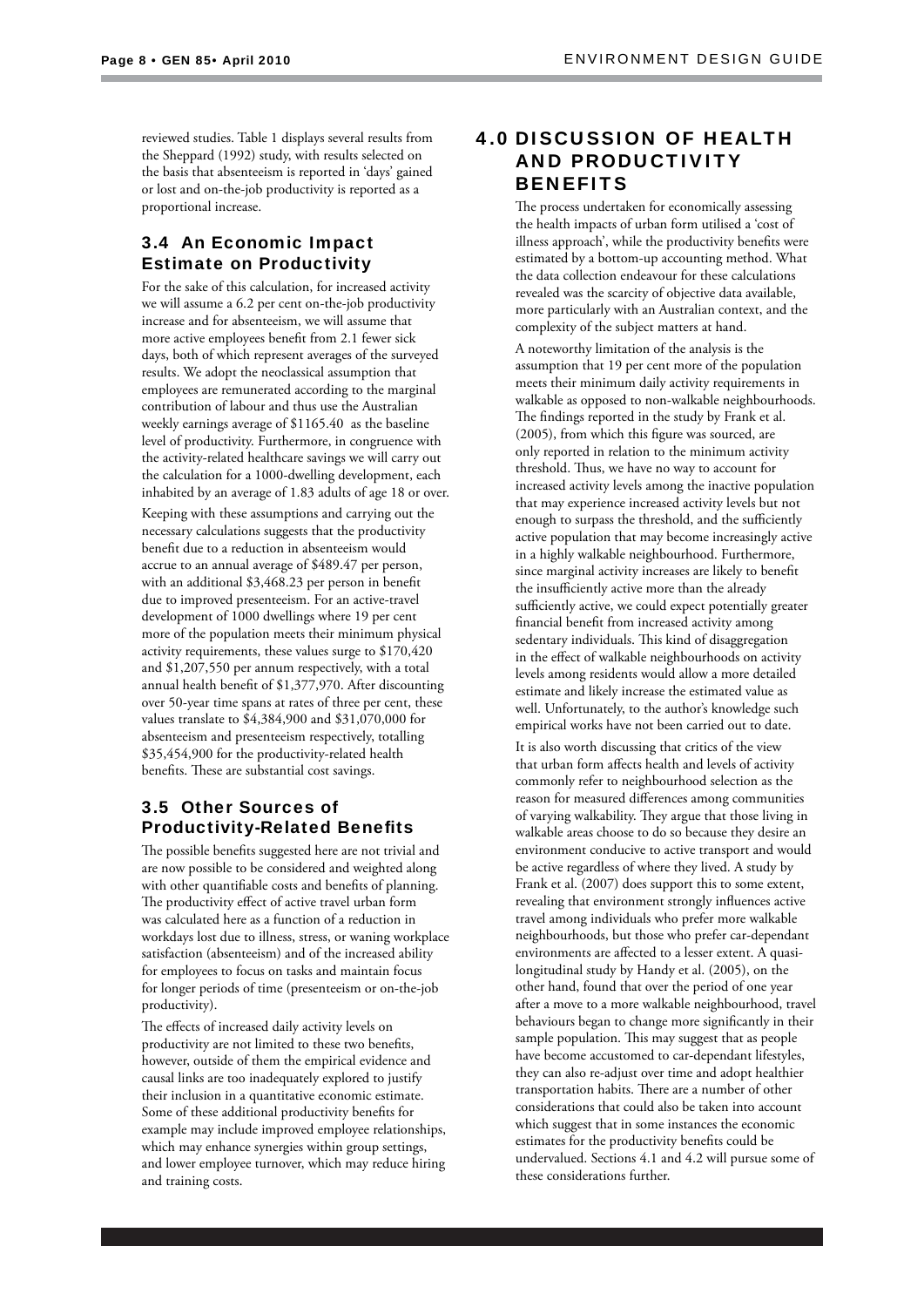reviewed studies. Table 1 displays several results from the Sheppard (1992) study, with results selected on the basis that absenteeism is reported in 'days' gained or lost and on-the-job productivity is reported as a proportional increase.

## 3.4 An Economic Impact Estimate on Productivity

For the sake of this calculation, for increased activity we will assume a 6.2 per cent on-the-job productivity increase and for absenteeism, we will assume that more active employees benefit from 2.1 fewer sick days, both of which represent averages of the surveyed results. We adopt the neoclassical assumption that employees are remunerated according to the marginal contribution of labour and thus use the Australian weekly earnings average of \$1165.40 as the baseline level of productivity. Furthermore, in congruence with the activity-related healthcare savings we will carry out the calculation for a 1000-dwelling development, each inhabited by an average of 1.83 adults of age 18 or over.

Keeping with these assumptions and carrying out the necessary calculations suggests that the productivity benefit due to a reduction in absenteeism would accrue to an annual average of \$489.47 per person, with an additional \$3,468.23 per person in benefit due to improved presenteeism. For an active-travel development of 1000 dwellings where 19 per cent more of the population meets their minimum physical activity requirements, these values surge to \$170,420 and \$1,207,550 per annum respectively, with a total annual health benefit of \$1,377,970. After discounting over 50-year time spans at rates of three per cent, these values translate to \$4,384,900 and \$31,070,000 for absenteeism and presenteeism respectively, totalling \$35,454,900 for the productivity-related health benefits. These are substantial cost savings.

## 3.5 Other Sources of **Productivity-Related Benefits**

The possible benefits suggested here are not trivial and are now possible to be considered and weighted along with other quantifiable costs and benefits of planning. The productivity effect of active travel urban form was calculated here as a function of a reduction in workdays lost due to illness, stress, or waning workplace satisfaction (absenteeism) and of the increased ability for employees to focus on tasks and maintain focus for longer periods of time (presenteeism or on-the-job productivity).

The effects of increased daily activity levels on productivity are not limited to these two benefits, however, outside of them the empirical evidence and causal links are too inadequately explored to justify their inclusion in a quantitative economic estimate. Some of these additional productivity benefits for example may include improved employee relationships, which may enhance synergies within group settings, and lower employee turnover, which may reduce hiring and training costs.

## 4.0 DISCUSSION OF HEALTH AND PRODUCTIVITY **BENEFITS**

The process undertaken for economically assessing the health impacts of urban form utilised a 'cost of illness approach', while the productivity benefits were estimated by a bottom-up accounting method. What the data collection endeavour for these calculations revealed was the scarcity of objective data available, more particularly with an Australian context, and the complexity of the subject matters at hand.

A noteworthy limitation of the analysis is the assumption that 19 per cent more of the population meets their minimum daily activity requirements in walkable as opposed to non-walkable neighbourhoods. The findings reported in the study by Frank et al.  $(2005)$ , from which this figure was sourced, are only reported in relation to the minimum activity threshold. Thus, we have no way to account for increased activity levels among the inactive population that may experience increased activity levels but not enough to surpass the threshold, and the sufficiently active population that may become increasingly active in a highly walkable neighbourhood. Furthermore, since marginal activity increases are likely to benefit the insufficiently active more than the already sufficiently active, we could expect potentially greater financial benefit from increased activity among sedentary individuals. This kind of disaggregation in the effect of walkable neighbourhoods on activity levels among residents would allow a more detailed estimate and likely increase the estimated value as well. Unfortunately, to the author's knowledge such empirical works have not been carried out to date.

It is also worth discussing that critics of the view that urban form affects health and levels of activity commonly refer to neighbourhood selection as the reason for measured differences among communities of varying walkability. They argue that those living in walkable areas choose to do so because they desire an environment conducive to active transport and would be active regardless of where they lived. A study by Frank et al. (2007) does support this to some extent, revealing that environment strongly influences active travel among individuals who prefer more walkable neighbourhoods, but those who prefer car-dependant environments are affected to a lesser extent. A quasilongitudinal study by Handy et al. (2005), on the other hand, found that over the period of one year after a move to a more walkable neighbourhood, travel behaviours began to change more significantly in their sample population. This may suggest that as people have become accustomed to car-dependant lifestyles, they can also re-adjust over time and adopt healthier transportation habits. There are a number of other considerations that could also be taken into account which suggest that in some instances the economic estimates for the productivity benefits could be undervalued. Sections 4.1 and 4.2 will pursue some of these considerations further.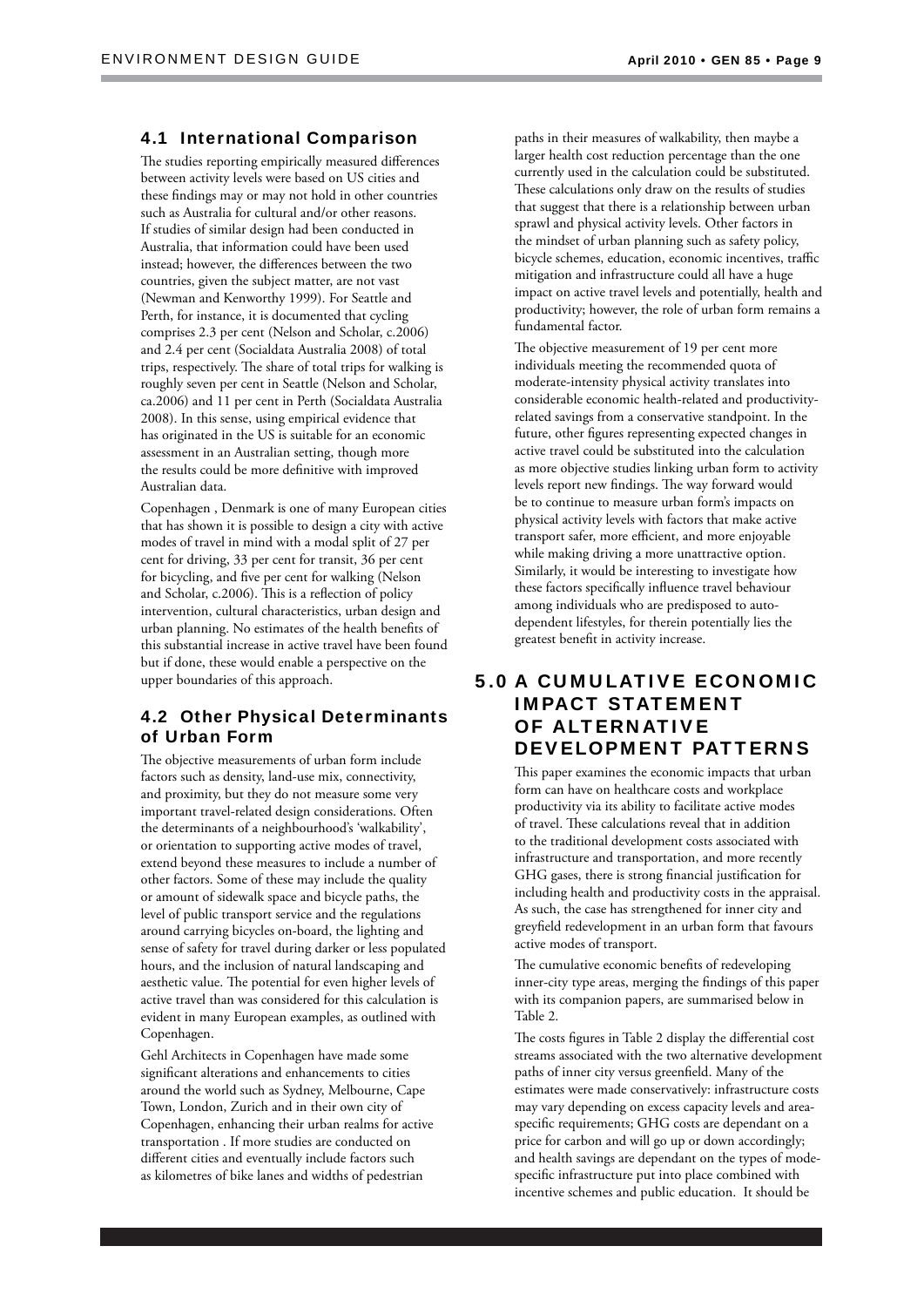#### 4.1 International Comparison

The studies reporting empirically measured differences between activity levels were based on US cities and these findings may or may not hold in other countries such as Australia for cultural and/or other reasons. If studies of similar design had been conducted in Australia, that information could have been used instead; however, the differences between the two countries, given the subject matter, are not vast (Newman and Kenworthy 1999). For Seattle and Perth, for instance, it is documented that cycling comprises 2.3 per cent (Nelson and Scholar, c.2006) and 2.4 per cent (Socialdata Australia 2008) of total trips, respectively. The share of total trips for walking is roughly seven per cent in Seattle (Nelson and Scholar, ca.2006) and 11 per cent in Perth (Socialdata Australia 2008). In this sense, using empirical evidence that has originated in the US is suitable for an economic assessment in an Australian setting, though more the results could be more definitive with improved Australian data.

Copenhagen , Denmark is one of many European cities that has shown it is possible to design a city with active modes of travel in mind with a modal split of 27 per cent for driving, 33 per cent for transit, 36 per cent for bicycling, and five per cent for walking (Nelson and Scholar, c.2006). This is a reflection of policy intervention, cultural characteristics, urban design and urban planning. No estimates of the health benefits of this substantial increase in active travel have been found but if done, these would enable a perspective on the upper boundaries of this approach.

## 4.2 Other Physical Determinants of Urban Form

The objective measurements of urban form include factors such as density, land-use mix, connectivity, and proximity, but they do not measure some very important travel-related design considerations. Often the determinants of a neighbourhood's 'walkability', or orientation to supporting active modes of travel, extend beyond these measures to include a number of other factors. Some of these may include the quality or amount of sidewalk space and bicycle paths, the level of public transport service and the regulations around carrying bicycles on-board, the lighting and sense of safety for travel during darker or less populated hours, and the inclusion of natural landscaping and aesthetic value. The potential for even higher levels of active travel than was considered for this calculation is evident in many European examples, as outlined with Copenhagen.

Gehl Architects in Copenhagen have made some significant alterations and enhancements to cities around the world such as Sydney, Melbourne, Cape Town, London, Zurich and in their own city of Copenhagen, enhancing their urban realms for active transportation . If more studies are conducted on different cities and eventually include factors such as kilometres of bike lanes and widths of pedestrian

paths in their measures of walkability, then maybe a larger health cost reduction percentage than the one currently used in the calculation could be substituted. These calculations only draw on the results of studies that suggest that there is a relationship between urban sprawl and physical activity levels. Other factors in the mindset of urban planning such as safety policy, bicycle schemes, education, economic incentives, traffic mitigation and infrastructure could all have a huge impact on active travel levels and potentially, health and productivity; however, the role of urban form remains a fundamental factor.

The objective measurement of 19 per cent more individuals meeting the recommended quota of moderate-intensity physical activity translates into considerable economic health-related and productivityrelated savings from a conservative standpoint. In the future, other figures representing expected changes in active travel could be substituted into the calculation as more objective studies linking urban form to activity levels report new findings. The way forward would be to continue to measure urban form's impacts on physical activity levels with factors that make active transport safer, more efficient, and more enjoyable while making driving a more unattractive option. Similarly, it would be interesting to investigate how these factors specifically influence travel behaviour among individuals who are predisposed to autodependent lifestyles, for therein potentially lies the greatest benefit in activity increase.

## 5.0 A CUMULATIVE ECONOMIC IMPACT STATEMENT OF ALTERNATIVE DEVELOPMENT PATTERNS

This paper examines the economic impacts that urban form can have on healthcare costs and workplace productivity via its ability to facilitate active modes of travel. These calculations reveal that in addition to the traditional development costs associated with infrastructure and transportation, and more recently GHG gases, there is strong financial justification for including health and productivity costs in the appraisal. As such, the case has strengthened for inner city and greyfield redevelopment in an urban form that favours active modes of transport.

The cumulative economic benefits of redeveloping inner-city type areas, merging the findings of this paper with its companion papers, are summarised below in Table 2.

The costs figures in Table 2 display the differential cost streams associated with the two alternative development paths of inner city versus greenfield. Many of the estimates were made conservatively: infrastructure costs may vary depending on excess capacity levels and areaspecific requirements; GHG costs are dependant on a price for carbon and will go up or down accordingly; and health savings are dependant on the types of modespecific infrastructure put into place combined with incentive schemes and public education. It should be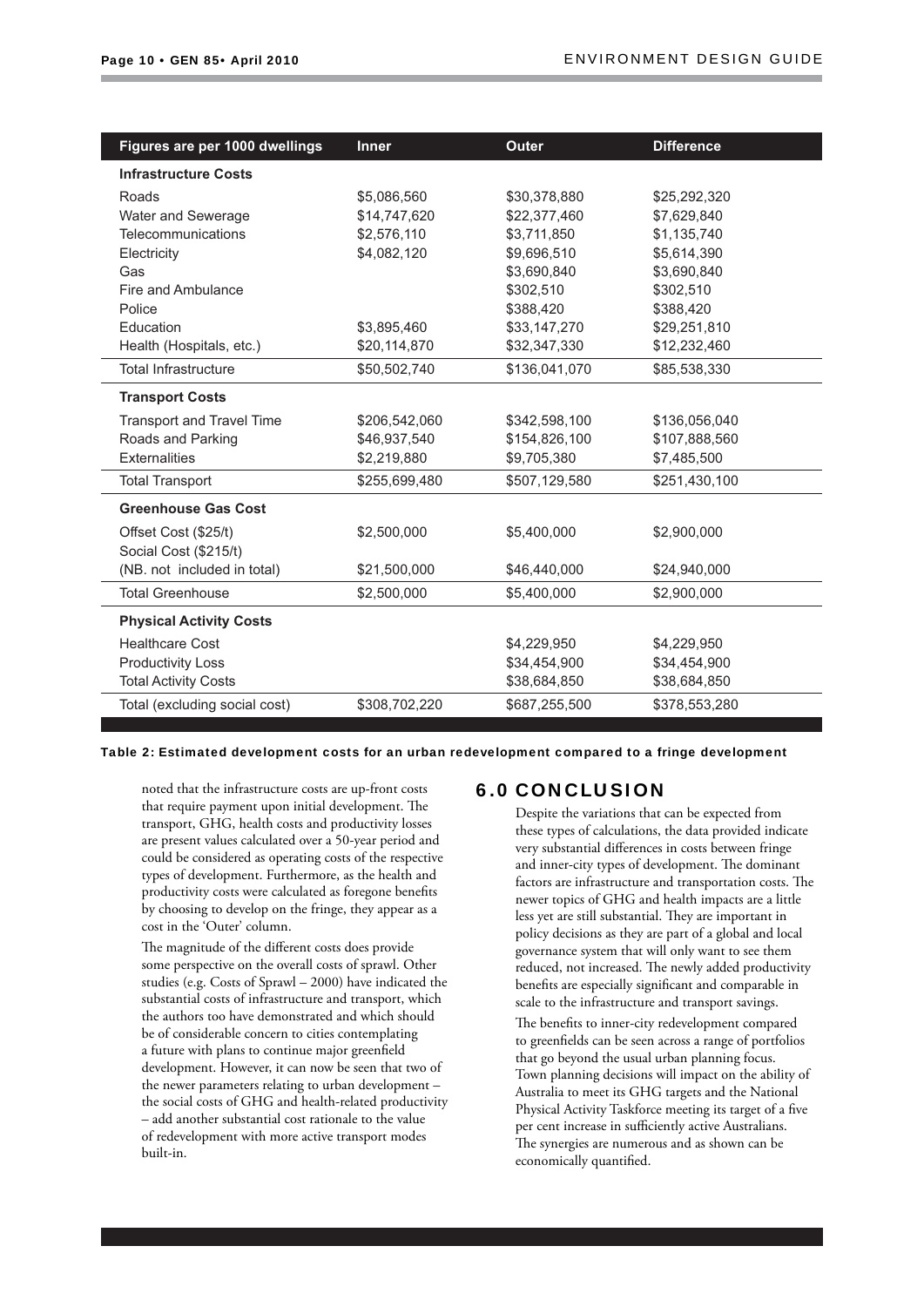| Figures are per 1000 dwellings   | <b>Inner</b>  | <b>Outer</b>  | <b>Difference</b> |
|----------------------------------|---------------|---------------|-------------------|
| <b>Infrastructure Costs</b>      |               |               |                   |
| Roads                            | \$5,086,560   | \$30,378,880  | \$25,292,320      |
| Water and Sewerage               | \$14,747,620  | \$22,377,460  | \$7,629,840       |
| Telecommunications               | \$2,576,110   | \$3,711,850   | \$1,135,740       |
| Electricity                      | \$4,082,120   | \$9,696,510   | \$5,614,390       |
| Gas                              |               | \$3,690,840   | \$3,690,840       |
| Fire and Ambulance               |               | \$302,510     | \$302,510         |
| Police                           |               | \$388,420     | \$388,420         |
| Education                        | \$3,895,460   | \$33,147,270  | \$29,251,810      |
| Health (Hospitals, etc.)         | \$20,114,870  | \$32,347,330  | \$12,232,460      |
| <b>Total Infrastructure</b>      | \$50,502,740  | \$136,041,070 | \$85,538,330      |
| <b>Transport Costs</b>           |               |               |                   |
| <b>Transport and Travel Time</b> | \$206,542,060 | \$342,598,100 | \$136,056,040     |
| Roads and Parking                | \$46,937,540  | \$154,826,100 | \$107,888,560     |
| <b>Externalities</b>             | \$2,219,880   | \$9,705,380   | \$7,485,500       |
| <b>Total Transport</b>           | \$255,699,480 | \$507,129,580 | \$251,430,100     |
| <b>Greenhouse Gas Cost</b>       |               |               |                   |
| Offset Cost (\$25/t)             | \$2,500,000   | \$5,400,000   | \$2,900,000       |
| Social Cost (\$215/t)            |               |               |                   |
| (NB. not included in total)      | \$21,500,000  | \$46,440,000  | \$24,940,000      |
| <b>Total Greenhouse</b>          | \$2,500,000   | \$5,400,000   | \$2,900,000       |
| <b>Physical Activity Costs</b>   |               |               |                   |
| <b>Healthcare Cost</b>           |               | \$4,229,950   | \$4,229,950       |
| <b>Productivity Loss</b>         |               | \$34,454,900  | \$34,454,900      |
| <b>Total Activity Costs</b>      |               | \$38,684,850  | \$38,684,850      |
| Total (excluding social cost)    | \$308,702,220 | \$687,255,500 | \$378,553,280     |

Table 2: Estimated development costs for an urban redevelopment compared to a fringe development

noted that the infrastructure costs are up-front costs that require payment upon initial development. The transport, GHG, health costs and productivity losses are present values calculated over a 50-year period and could be considered as operating costs of the respective types of development. Furthermore, as the health and productivity costs were calculated as foregone benefits by choosing to develop on the fringe, they appear as a cost in the 'Outer' column.

The magnitude of the different costs does provide some perspective on the overall costs of sprawl. Other studies (e.g. Costs of Sprawl – 2000) have indicated the substantial costs of infrastructure and transport, which the authors too have demonstrated and which should be of considerable concern to cities contemplating a future with plans to continue major greenfield development. However, it can now be seen that two of the newer parameters relating to urban development – the social costs of GHG and health-related productivity – add another substantial cost rationale to the value of redevelopment with more active transport modes built-in.

## 6.0 CONCLUSION

Despite the variations that can be expected from these types of calculations, the data provided indicate very substantial differences in costs between fringe and inner-city types of development. The dominant factors are infrastructure and transportation costs. The newer topics of GHG and health impacts are a little less yet are still substantial. They are important in policy decisions as they are part of a global and local governance system that will only want to see them reduced, not increased. The newly added productivity benefits are especially significant and comparable in scale to the infrastructure and transport savings.

The benefits to inner-city redevelopment compared to greenfields can be seen across a range of portfolios that go beyond the usual urban planning focus. Town planning decisions will impact on the ability of Australia to meet its GHG targets and the National Physical Activity Taskforce meeting its target of a five per cent increase in sufficiently active Australians. The synergies are numerous and as shown can be economically quantified.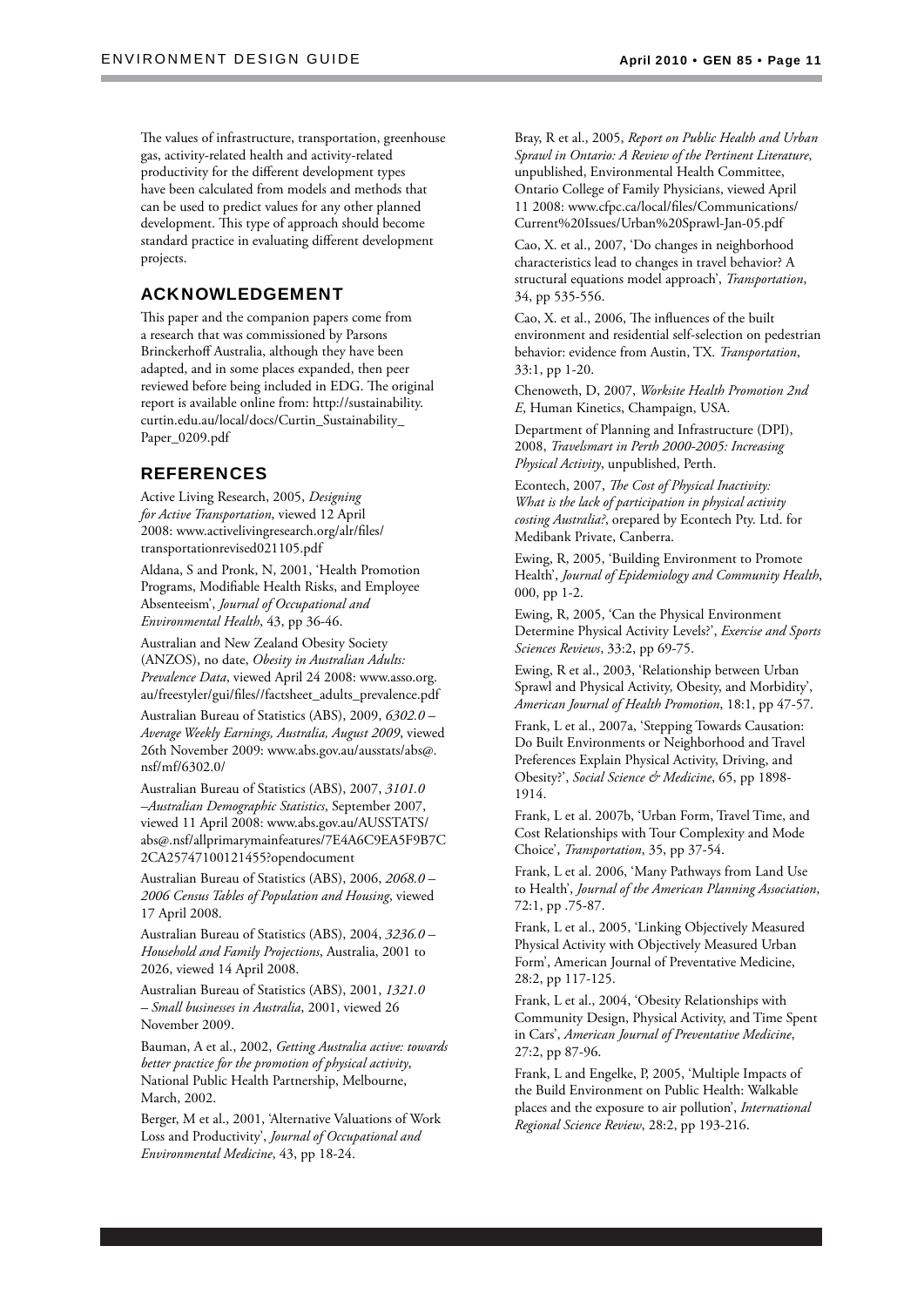The values of infrastructure, transportation, greenhouse gas, activity-related health and activity-related productivity for the different development types have been calculated from models and methods that can be used to predict values for any other planned development. This type of approach should become standard practice in evaluating different development projects.

## ACKNOWLEDGEMENT

This paper and the companion papers come from a research that was commissioned by Parsons Brinckerhoff Australia, although they have been adapted, and in some places expanded, then peer reviewed before being included in EDG. The original report is available online from: http://sustainability. curtin.edu.au/local/docs/Curtin\_Sustainability\_ Paper\_0209.pdf

## REFERENCES

Active Living Research, 2005, *Designing for Active Transportation*, viewed 12 April 2008: www.activelivingresearch.org/alr/files/ transportationrevised021105.pdf

Aldana, S and Pronk, N, 2001, 'Health Promotion Programs, Modifiable Health Risks, and Employee Absenteeism', *Journal of Occupational and Environmental Health*, 43, pp 36-46.

Australian and New Zealand Obesity Society (ANZOS), no date, *Obesity in Australian Adults: Prevalence Data*, viewed April 24 2008: www.asso.org. au/freestyler/gui/files//factsheet\_adults\_prevalence.pdf

Australian Bureau of Statistics (ABS), 2009, *6302.0 – Average Weekly Earnings, Australia, August 2009*, viewed 26th November 2009: www.abs.gov.au/ausstats/abs@. nsf/mf/6302.0/

Australian Bureau of Statistics (ABS), 2007, *3101.0 –Australian Demographic Statistics*, September 2007, viewed 11 April 2008: www.abs.gov.au/AUSSTATS/ abs@.nsf/allprimarymainfeatures/7E4A6C9EA5F9B7C 2CA25747100121455?opendocument

Australian Bureau of Statistics (ABS), 2006, *2068.0 – 2006 Census Tables of Population and Housing*, viewed 17 April 2008.

Australian Bureau of Statistics (ABS), 2004, *3236.0 – Household and Family Projections*, Australia, 2001 to 2026, viewed 14 April 2008.

Australian Bureau of Statistics (ABS), 2001, *1321.0 – Small businesses in Australia*, 2001, viewed 26 November 2009.

Bauman, A et al., 2002, *Getting Australia active: towards better practice for the promotion of physical activity*, National Public Health Partnership, Melbourne, March, 2002.

Berger, M et al., 2001, 'Alternative Valuations of Work Loss and Productivity', *Journal of Occupational and Environmental Medicine*, 43, pp 18-24.

Bray, R et al., 2005, *Report on Public Health and Urban Sprawl in Ontario: A Review of the Pertinent Literature*, unpublished, Environmental Health Committee, Ontario College of Family Physicians, viewed April 11 2008: www.cfpc.ca/local/files/Communications/ Current%20Issues/Urban%20Sprawl-Jan-05.pdf

Cao, X. et al., 2007, 'Do changes in neighborhood characteristics lead to changes in travel behavior? A structural equations model approach', *Transportation*, 34, pp 535-556.

Cao, X. et al., 2006, The influences of the built environment and residential self-selection on pedestrian behavior: evidence from Austin, TX. *Transportation*, 33:1, pp 1-20.

Chenoweth, D, 2007, *Worksite Health Promotion 2nd E*, Human Kinetics, Champaign, USA.

Department of Planning and Infrastructure (DPI), 2008, *Travelsmart in Perth 2000-2005: Increasing Physical Activity*, unpublished, Perth.

Econtech, 2007, *The Cost of Physical Inactivity*: *What is the lack of participation in physical activity costing Australia?*, orepared by Econtech Pty. Ltd. for Medibank Private, Canberra.

Ewing, R, 2005, 'Building Environment to Promote Health', *Journal of Epidemiology and Community Health*, 000, pp 1-2.

Ewing, R, 2005, 'Can the Physical Environment Determine Physical Activity Levels?', *Exercise and Sports Sciences Reviews*, 33:2, pp 69-75.

Ewing, R et al., 2003, 'Relationship between Urban Sprawl and Physical Activity, Obesity, and Morbidity', *American Journal of Health Promotion*, 18:1, pp 47-57.

Frank, L et al., 2007a, 'Stepping Towards Causation: Do Built Environments or Neighborhood and Travel Preferences Explain Physical Activity, Driving, and Obesity?', *Social Science & Medicine*, 65, pp 1898- 1914.

Frank, L et al. 2007b, 'Urban Form, Travel Time, and Cost Relationships with Tour Complexity and Mode Choice', *Transportation*, 35, pp 37-54.

Frank, L et al. 2006, 'Many Pathways from Land Use to Health', *Journal of the American Planning Association*, 72:1, pp .75-87.

Frank, L et al., 2005, 'Linking Objectively Measured Physical Activity with Objectively Measured Urban Form', American Journal of Preventative Medicine, 28:2, pp 117-125.

Frank, L et al., 2004, 'Obesity Relationships with Community Design, Physical Activity, and Time Spent in Cars', *American Journal of Preventative Medicine*, 27:2, pp 87-96.

Frank, L and Engelke, P, 2005, 'Multiple Impacts of the Build Environment on Public Health: Walkable places and the exposure to air pollution', *International Regional Science Review*, 28:2, pp 193-216.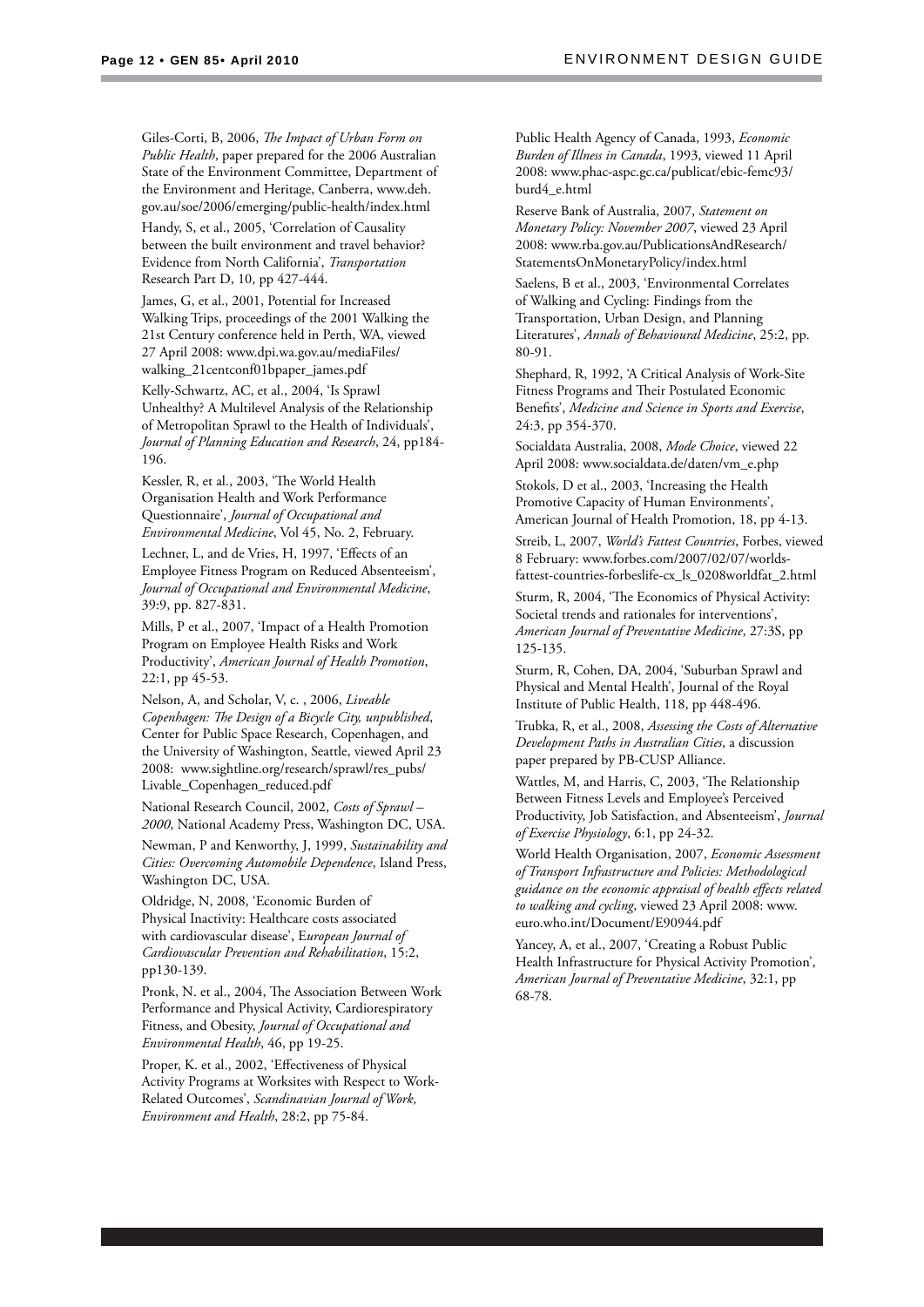Giles-Corti, B, 2006, *The Impact of Urban Form on Public Health*, paper prepared for the 2006 Australian State of the Environment Committee, Department of the Environment and Heritage, Canberra, www.deh. gov.au/soe/2006/emerging/public-health/index.html

Handy, S, et al., 2005, 'Correlation of Causality between the built environment and travel behavior? Evidence from North California', *Transportation* Research Part D, 10, pp 427-444.

James, G, et al., 2001, Potential for Increased Walking Trips, proceedings of the 2001 Walking the 21st Century conference held in Perth, WA, viewed 27 April 2008: www.dpi.wa.gov.au/mediaFiles/ walking\_21centconf01bpaper\_james.pdf

Kelly-Schwartz, AC, et al., 2004, 'Is Sprawl Unhealthy? A Multilevel Analysis of the Relationship of Metropolitan Sprawl to the Health of Individuals', *Journal of Planning Education and Research*, 24, pp184- 196.

Kessler, R, et al., 2003, 'The World Health Organisation Health and Work Performance Questionnaire', *Journal of Occupational and Environmental Medicine*, Vol 45, No. 2, February.

Lechner, L, and de Vries, H, 1997, 'Effects of an Employee Fitness Program on Reduced Absenteeism', *Journal of Occupational and Environmental Medicine*, 39:9, pp. 827-831.

Mills, P et al., 2007, 'Impact of a Health Promotion Program on Employee Health Risks and Work Productivity', *American Journal of Health Promotion*, 22:1, pp 45-53.

Nelson, A, and Scholar, V, c. , 2006, *Liveable*  Copenhagen: The Design of a Bicycle City, unpublished, Center for Public Space Research, Copenhagen, and the University of Washington, Seattle, viewed April 23 2008: www.sightline.org/research/sprawl/res\_pubs/ Livable\_Copenhagen\_reduced.pdf

National Research Council, 2002, *Costs of Sprawl – 2000*, National Academy Press, Washington DC, USA.

Newman, P and Kenworthy, J, 1999, *Sustainability and Cities: Overcoming Automobile Dependence*, Island Press, Washington DC, USA.

Oldridge, N, 2008, 'Economic Burden of Physical Inactivity: Healthcare costs associated with cardiovascular disease', E*uropean Journal of Cardiovascular Prevention and Rehabilitation*, 15:2, pp130-139.

Pronk, N. et al., 2004, The Association Between Work Performance and Physical Activity, Cardiorespiratory Fitness, and Obesity, *Journal of Occupational and Environmental Health*, 46, pp 19-25.

Proper, K. et al., 2002, 'Effectiveness of Physical Activity Programs at Worksites with Respect to Work-Related Outcomes', *Scandinavian Journal of Work, Environment and Health*, 28:2, pp 75-84.

Public Health Agency of Canada, 1993, *Economic Burden of Illness in Canada*, 1993, viewed 11 April 2008: www.phac-aspc.gc.ca/publicat/ebic-femc93/ burd4\_e.html

Reserve Bank of Australia, 2007, *Statement on Monetary Policy: November 2007*, viewed 23 April 2008: www.rba.gov.au/PublicationsAndResearch/ StatementsOnMonetaryPolicy/index.html

Saelens, B et al., 2003, 'Environmental Correlates of Walking and Cycling: Findings from the Transportation, Urban Design, and Planning Literatures', *Annals of Behavioural Medicine*, 25:2, pp. 80-91.

Shephard, R, 1992, 'A Critical Analysis of Work-Site Fitness Programs and Their Postulated Economic Benefits', *Medicine and Science in Sports and Exercise*, 24:3, pp 354-370.

Socialdata Australia, 2008, *Mode Choice*, viewed 22 April 2008: www.socialdata.de/daten/vm\_e.php

Stokols, D et al., 2003, 'Increasing the Health Promotive Capacity of Human Environments', American Journal of Health Promotion, 18, pp 4-13.

Streib, L, 2007, *World's Fattest Countries*, Forbes, viewed 8 February: www.forbes.com/2007/02/07/worldsfattest-countries-forbeslife-cx\_ls\_0208worldfat\_2.html

Sturm, R, 2004, 'The Economics of Physical Activity: Societal trends and rationales for interventions', *American Journal of Preventative Medicine*, 27:3S, pp 125-135.

Sturm, R, Cohen, DA, 2004, 'Suburban Sprawl and Physical and Mental Health', Journal of the Royal Institute of Public Health, 118, pp 448-496.

Trubka, R, et al., 2008, *Assessing the Costs of Alternative Development Paths in Australian Cities*, a discussion paper prepared by PB-CUSP Alliance.

Wattles, M, and Harris, C, 2003, 'The Relationship Between Fitness Levels and Employee's Perceived Productivity, Job Satisfaction, and Absenteeism', *Journal of Exercise Physiology*, 6:1, pp 24-32.

World Health Organisation, 2007, *Economic Assessment of Transport Infrastructure and Policies: Methodological guidance on the economic appraisal of health eff ects related to walking and cycling*, viewed 23 April 2008: www. euro.who.int/Document/E90944.pdf

Yancey, A, et al., 2007, 'Creating a Robust Public Health Infrastructure for Physical Activity Promotion', *American Journal of Preventative Medicine*, 32:1, pp 68-78.